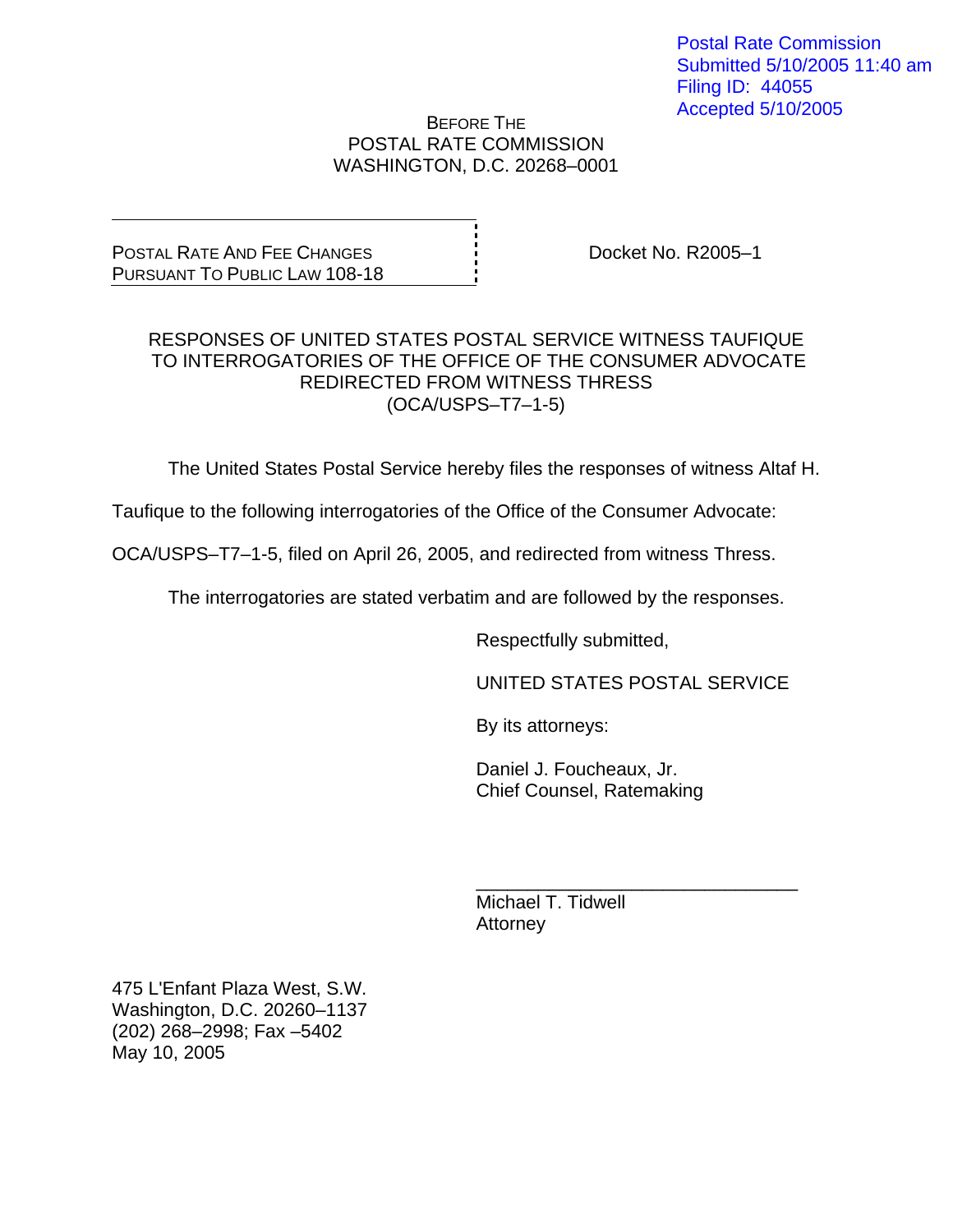Postal Rate Commission Submitted 5/10/2005 11:40 am Filing ID: 44055 Accepted 5/10/2005

### BEFORE THE POSTAL RATE COMMISSION WASHINGTON, D.C. 20268–0001

POSTAL RATE AND FEE CHANGES PURSUANT TO PUBLIC LAW 108-18 Docket No. R2005–1

### RESPONSES OF UNITED STATES POSTAL SERVICE WITNESS TAUFIQUE TO INTERROGATORIES OF THE OFFICE OF THE CONSUMER ADVOCATE REDIRECTED FROM WITNESS THRESS (OCA/USPS–T7–1-5)

The United States Postal Service hereby files the responses of witness Altaf H.

Taufique to the following interrogatories of the Office of the Consumer Advocate:

OCA/USPS–T7–1-5, filed on April 26, 2005, and redirected from witness Thress.

The interrogatories are stated verbatim and are followed by the responses.

 $\frac{1}{\sqrt{1-\frac{1}{2}+\frac{1}{2}+\frac{1}{2}+\frac{1}{2}+\frac{1}{2}+\frac{1}{2}+\frac{1}{2}+\frac{1}{2}+\frac{1}{2}+\frac{1}{2}+\frac{1}{2}+\frac{1}{2}+\frac{1}{2}+\frac{1}{2}+\frac{1}{2}+\frac{1}{2}+\frac{1}{2}+\frac{1}{2}+\frac{1}{2}+\frac{1}{2}+\frac{1}{2}+\frac{1}{2}+\frac{1}{2}+\frac{1}{2}+\frac{1}{2}+\frac{1}{2}+\frac{1}{2}+\frac{1}{2}+\frac{1}{2}+\frac{1}{2}+\$ 

Respectfully submitted,

UNITED STATES POSTAL SERVICE

By its attorneys:

 Daniel J. Foucheaux, Jr. Chief Counsel, Ratemaking

 Michael T. Tidwell **Attorney** 

475 L'Enfant Plaza West, S.W. Washington, D.C. 20260–1137 (202) 268–2998; Fax –5402 May 10, 2005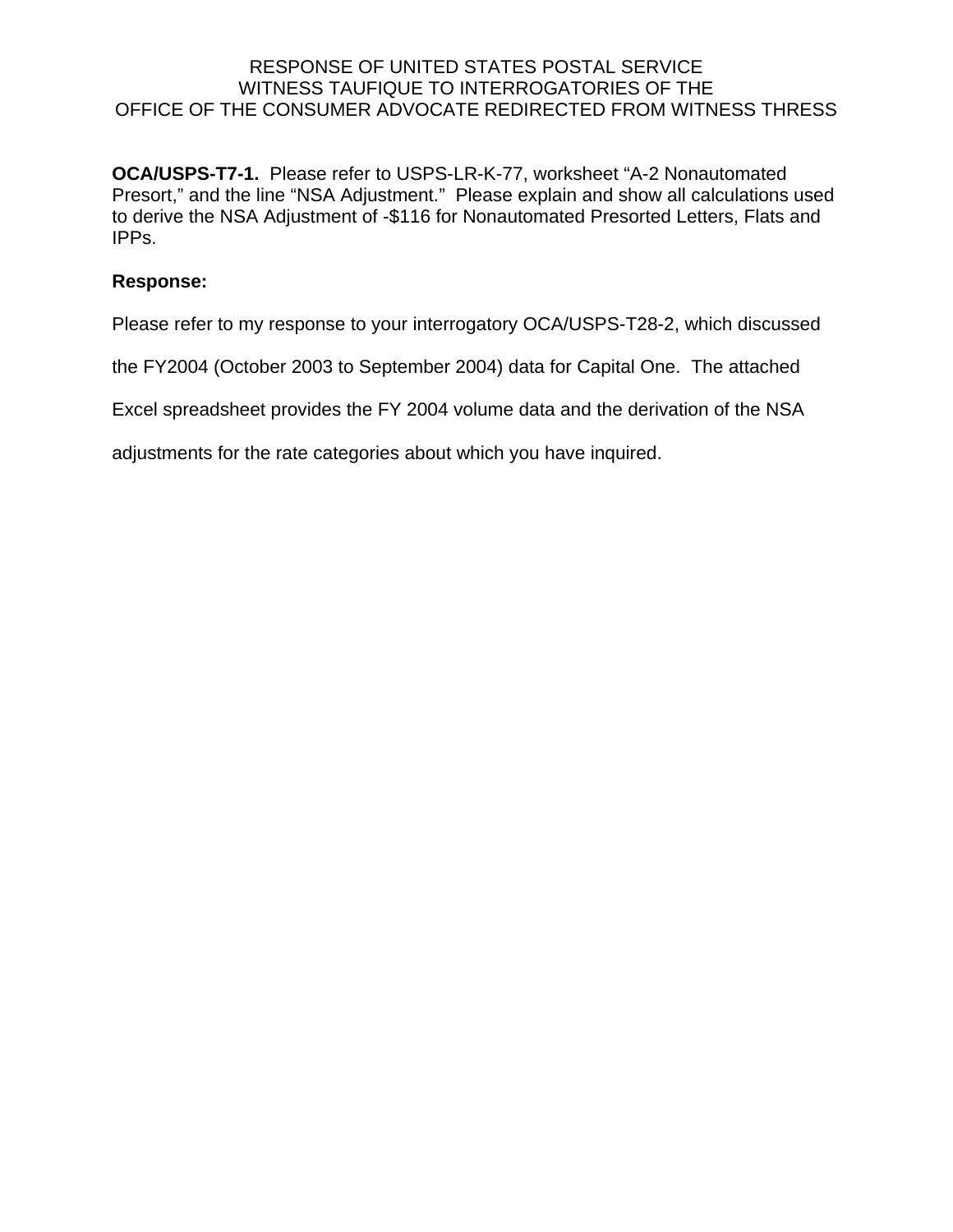**OCA/USPS-T7-1.** Please refer to USPS-LR-K-77, worksheet "A-2 Nonautomated Presort," and the line "NSA Adjustment." Please explain and show all calculations used to derive the NSA Adjustment of -\$116 for Nonautomated Presorted Letters, Flats and IPPs.

### **Response:**

Please refer to my response to your interrogatory OCA/USPS-T28-2, which discussed

the FY2004 (October 2003 to September 2004) data for Capital One. The attached

Excel spreadsheet provides the FY 2004 volume data and the derivation of the NSA

adjustments for the rate categories about which you have inquired.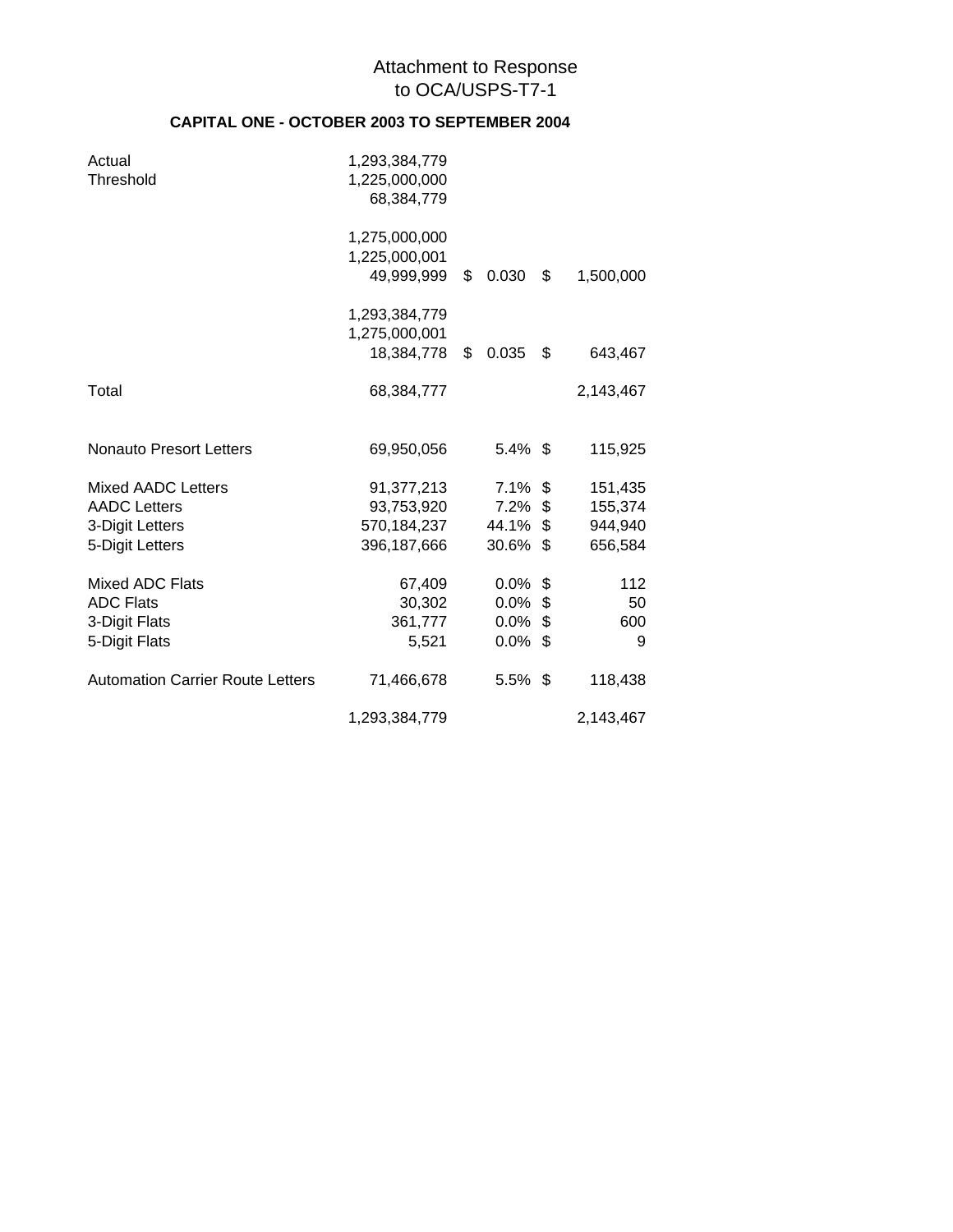### Attachment to Response to OCA/USPS-T7-1

### **CAPITAL ONE - OCTOBER 2003 TO SEPTEMBER 2004**

| Actual<br>Threshold                     | 1,293,384,779<br>1,225,000,000<br>68,384,779 |             |                 |
|-----------------------------------------|----------------------------------------------|-------------|-----------------|
|                                         | 1,275,000,000<br>1,225,000,001               |             |                 |
|                                         | 49,999,999                                   | \$<br>0.030 | \$<br>1,500,000 |
|                                         | 1,293,384,779                                |             |                 |
|                                         | 1,275,000,001<br>18,384,778                  | \$<br>0.035 | \$<br>643,467   |
| Total                                   | 68,384,777                                   |             | 2,143,467       |
| <b>Nonauto Presort Letters</b>          | 69,950,056                                   | $5.4\%$ \$  | 115,925         |
| <b>Mixed AADC Letters</b>               | 91,377,213                                   | $7.1\%$ \$  | 151,435         |
| <b>AADC Letters</b>                     | 93,753,920                                   | $7.2\%$ \$  | 155,374         |
| 3-Digit Letters                         | 570,184,237                                  | 44.1% \$    | 944,940         |
| 5-Digit Letters                         | 396,187,666                                  | $30.6\%$ \$ | 656,584         |
| Mixed ADC Flats                         | 67,409                                       | $0.0\%$ \$  | 112             |
| <b>ADC Flats</b>                        | 30,302                                       | $0.0\%$ \$  | 50              |
| 3-Digit Flats                           | 361,777                                      | $0.0\%$ \$  | 600             |
| 5-Digit Flats                           | 5,521                                        | $0.0\%$ \$  | 9               |
| <b>Automation Carrier Route Letters</b> | 71,466,678                                   | $5.5\%$ \$  | 118,438         |
|                                         | 1,293,384,779                                |             | 2,143,467       |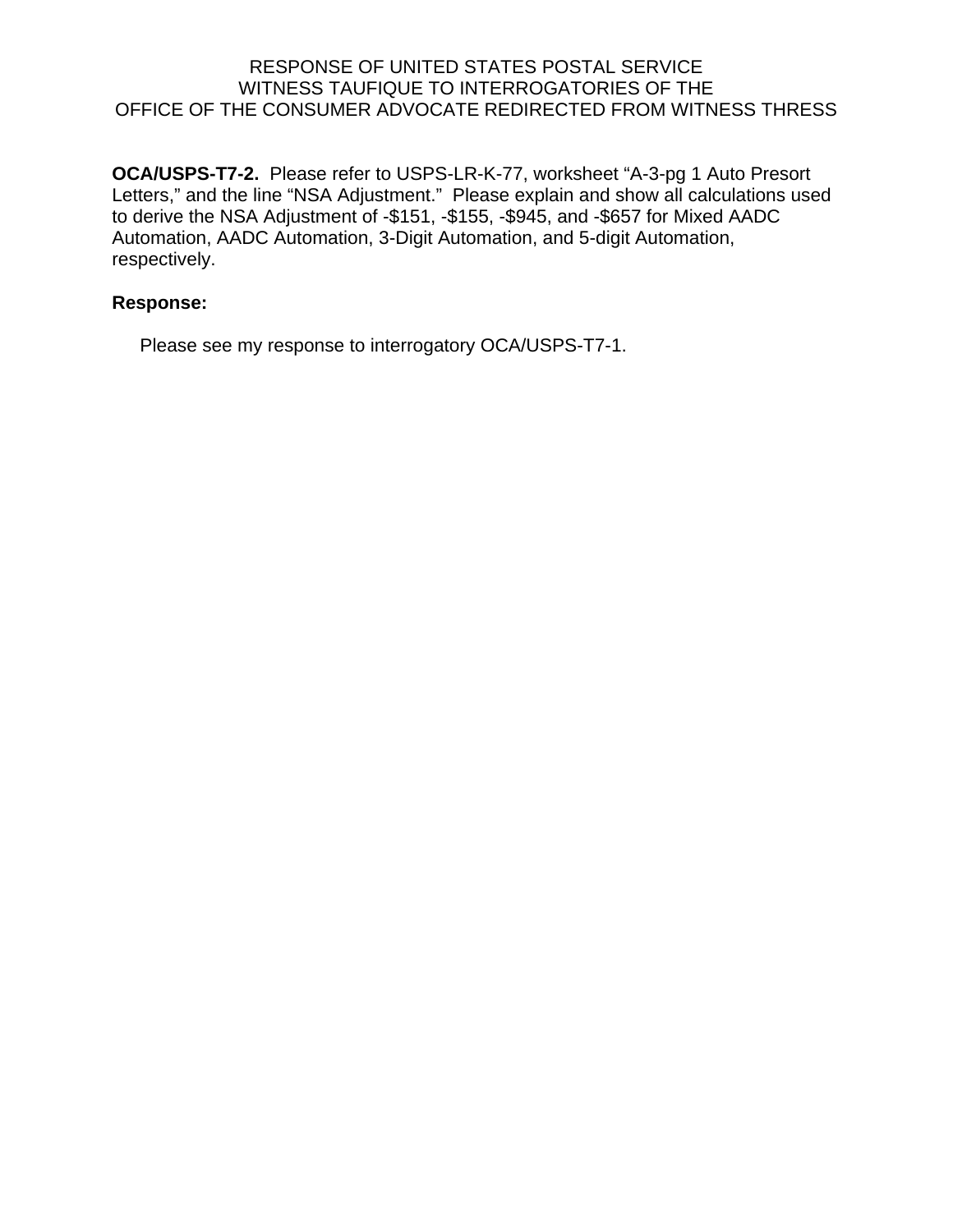**OCA/USPS-T7-2.** Please refer to USPS-LR-K-77, worksheet "A-3-pg 1 Auto Presort Letters," and the line "NSA Adjustment." Please explain and show all calculations used to derive the NSA Adjustment of -\$151, -\$155, -\$945, and -\$657 for Mixed AADC Automation, AADC Automation, 3-Digit Automation, and 5-digit Automation, respectively.

# **Response:**

Please see my response to interrogatory OCA/USPS-T7-1.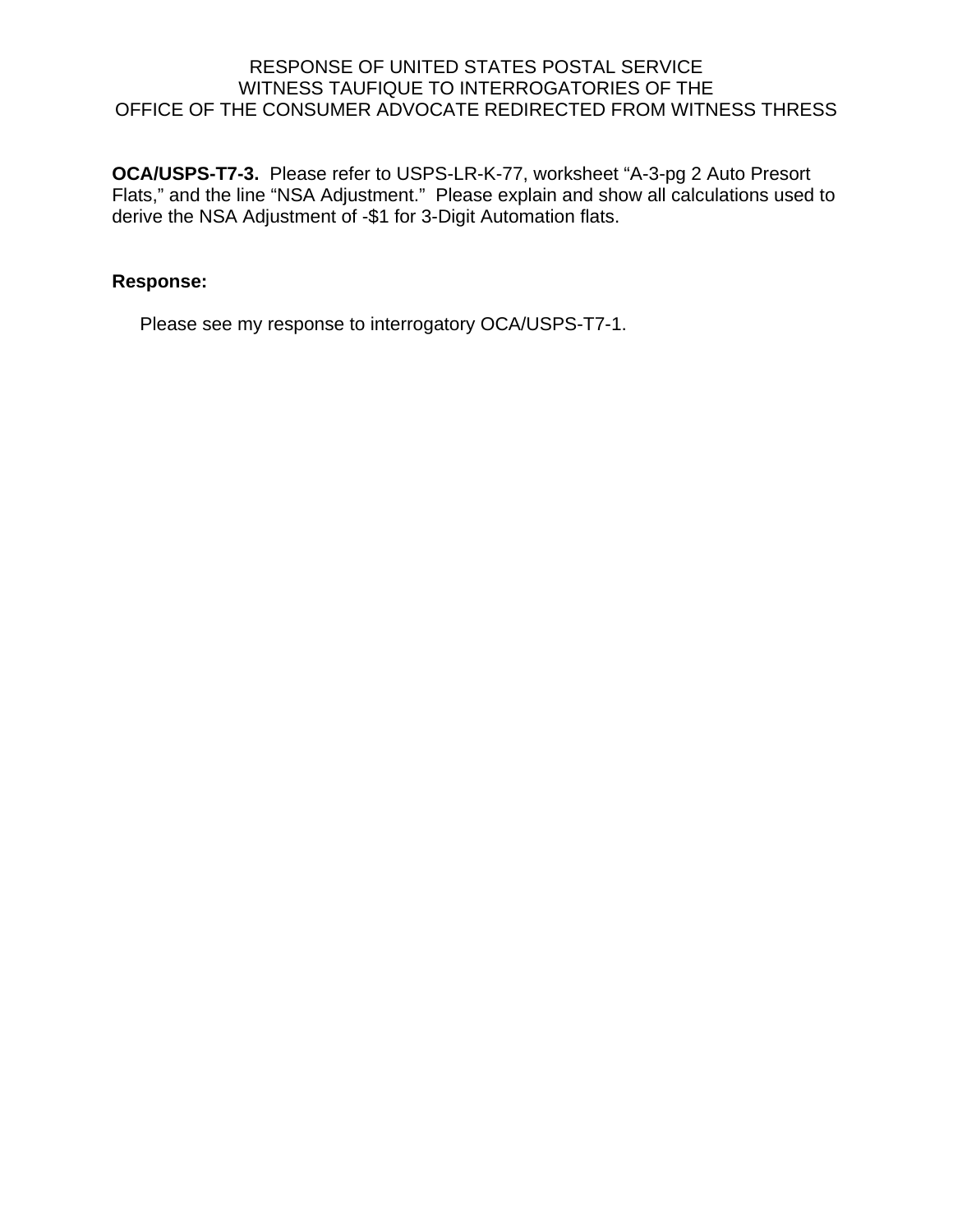**OCA/USPS-T7-3.** Please refer to USPS-LR-K-77, worksheet "A-3-pg 2 Auto Presort Flats," and the line "NSA Adjustment." Please explain and show all calculations used to derive the NSA Adjustment of -\$1 for 3-Digit Automation flats.

## **Response:**

Please see my response to interrogatory OCA/USPS-T7-1.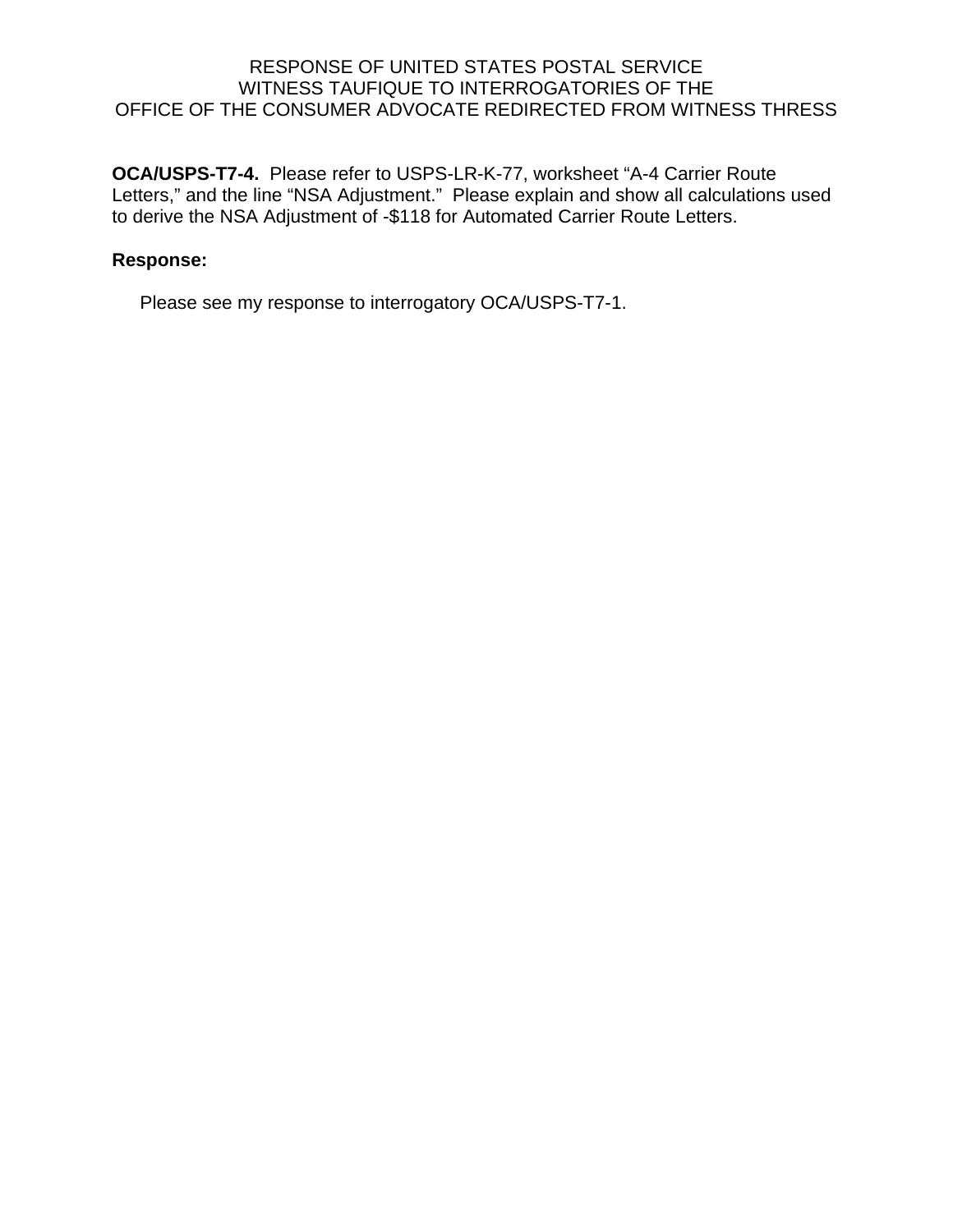**OCA/USPS-T7-4.** Please refer to USPS-LR-K-77, worksheet "A-4 Carrier Route Letters," and the line "NSA Adjustment." Please explain and show all calculations used to derive the NSA Adjustment of -\$118 for Automated Carrier Route Letters.

## **Response:**

Please see my response to interrogatory OCA/USPS-T7-1.